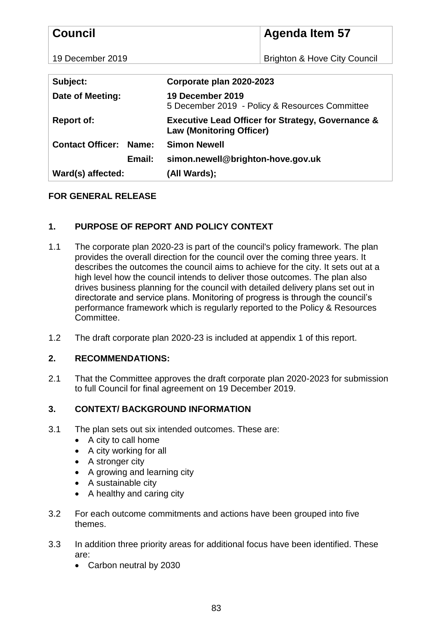| <b>Council</b>                   | <b>Agenda Item 57</b>                                                                           |
|----------------------------------|-------------------------------------------------------------------------------------------------|
| 19 December 2019                 | <b>Brighton &amp; Hove City Council</b>                                                         |
|                                  |                                                                                                 |
| Subject:                         | Corporate plan 2020-2023                                                                        |
| <b>Date of Meeting:</b>          | 19 December 2019<br>5 December 2019 - Policy & Resources Committee                              |
| <b>Report of:</b>                | <b>Executive Lead Officer for Strategy, Governance &amp;</b><br><b>Law (Monitoring Officer)</b> |
| <b>Contact Officer:</b><br>Name: | <b>Simon Newell</b>                                                                             |
| Email:                           | simon.newell@brighton-hove.gov.uk                                                               |
| Ward(s) affected:                | (All Wards);                                                                                    |

# **FOR GENERAL RELEASE**

# **1. PURPOSE OF REPORT AND POLICY CONTEXT**

- 1.1 The corporate plan 2020-23 is part of the council's policy framework. The plan provides the overall direction for the council over the coming three years. It describes the outcomes the council aims to achieve for the city. It sets out at a high level how the council intends to deliver those outcomes. The plan also drives business planning for the council with detailed delivery plans set out in directorate and service plans. Monitoring of progress is through the council's performance framework which is regularly reported to the Policy & Resources Committee.
- 1.2 The draft corporate plan 2020-23 is included at appendix 1 of this report.

### **2. RECOMMENDATIONS:**

2.1 That the Committee approves the draft corporate plan 2020-2023 for submission to full Council for final agreement on 19 December 2019.

# **3. CONTEXT/ BACKGROUND INFORMATION**

- 3.1 The plan sets out six intended outcomes. These are:
	- A city to call home
	- $\bullet$  A city working for all
	- A stronger city
	- A growing and learning city
	- A sustainable city
	- A healthy and caring city
- 3.2 For each outcome commitments and actions have been grouped into five themes.
- 3.3 In addition three priority areas for additional focus have been identified. These are:
	- Carbon neutral by 2030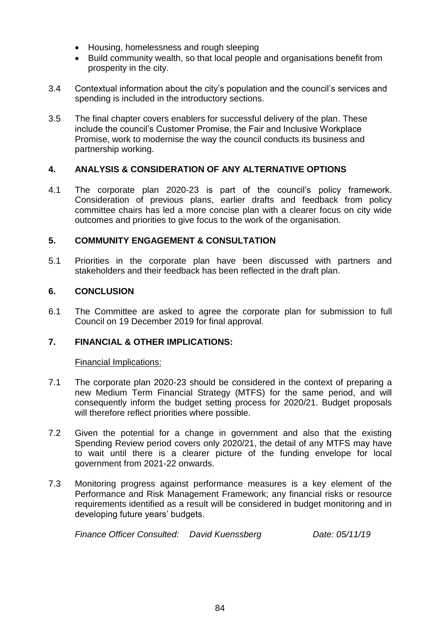- Housing, homelessness and rough sleeping
- Build community wealth, so that local people and organisations benefit from prosperity in the city.
- 3.4 Contextual information about the city's population and the council's services and spending is included in the introductory sections.
- 3.5 The final chapter covers enablers for successful delivery of the plan. These include the council's Customer Promise, the Fair and Inclusive Workplace Promise, work to modernise the way the council conducts its business and partnership working.

## **4. ANALYSIS & CONSIDERATION OF ANY ALTERNATIVE OPTIONS**

4.1 The corporate plan 2020-23 is part of the council's policy framework. Consideration of previous plans, earlier drafts and feedback from policy committee chairs has led a more concise plan with a clearer focus on city wide outcomes and priorities to give focus to the work of the organisation.

## **5. COMMUNITY ENGAGEMENT & CONSULTATION**

5.1 Priorities in the corporate plan have been discussed with partners and stakeholders and their feedback has been reflected in the draft plan.

## **6. CONCLUSION**

6.1 The Committee are asked to agree the corporate plan for submission to full Council on 19 December 2019 for final approval.

### **7. FINANCIAL & OTHER IMPLICATIONS:**

### Financial Implications:

- 7.1 The corporate plan 2020-23 should be considered in the context of preparing a new Medium Term Financial Strategy (MTFS) for the same period, and will consequently inform the budget setting process for 2020/21. Budget proposals will therefore reflect priorities where possible.
- 7.2 Given the potential for a change in government and also that the existing Spending Review period covers only 2020/21, the detail of any MTFS may have to wait until there is a clearer picture of the funding envelope for local government from 2021-22 onwards.
- 7.3 Monitoring progress against performance measures is a key element of the Performance and Risk Management Framework; any financial risks or resource requirements identified as a result will be considered in budget monitoring and in developing future years' budgets.

*Finance Officer Consulted: David Kuenssberg Date: 05/11/19*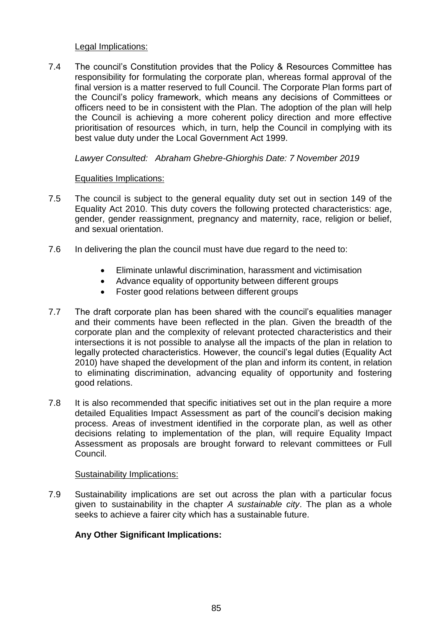### Legal Implications:

7.4 The council's Constitution provides that the Policy & Resources Committee has responsibility for formulating the corporate plan, whereas formal approval of the final version is a matter reserved to full Council. The Corporate Plan forms part of the Council's policy framework, which means any decisions of Committees or officers need to be in consistent with the Plan. The adoption of the plan will help the Council is achieving a more coherent policy direction and more effective prioritisation of resources which, in turn, help the Council in complying with its best value duty under the Local Government Act 1999.

### *Lawyer Consulted: Abraham Ghebre-Ghiorghis Date: 7 November 2019*

### Equalities Implications:

- 7.5 The council is subject to the general equality duty set out in section 149 of the Equality Act 2010. This duty covers the following protected characteristics: age, gender, gender reassignment, pregnancy and maternity, race, religion or belief, and sexual orientation.
- 7.6 In delivering the plan the council must have due regard to the need to:
	- Eliminate unlawful discrimination, harassment and victimisation
	- Advance equality of opportunity between different groups
	- Foster good relations between different groups
- 7.7 The draft corporate plan has been shared with the council's equalities manager and their comments have been reflected in the plan. Given the breadth of the corporate plan and the complexity of relevant protected characteristics and their intersections it is not possible to analyse all the impacts of the plan in relation to legally protected characteristics. However, the council's legal duties (Equality Act 2010) have shaped the development of the plan and inform its content, in relation to eliminating discrimination, advancing equality of opportunity and fostering good relations.
- 7.8 It is also recommended that specific initiatives set out in the plan require a more detailed Equalities Impact Assessment as part of the council's decision making process. Areas of investment identified in the corporate plan, as well as other decisions relating to implementation of the plan, will require Equality Impact Assessment as proposals are brought forward to relevant committees or Full Council.

### Sustainability Implications:

7.9 Sustainability implications are set out across the plan with a particular focus given to sustainability in the chapter *A sustainable city*. The plan as a whole seeks to achieve a fairer city which has a sustainable future.

### **Any Other Significant Implications:**